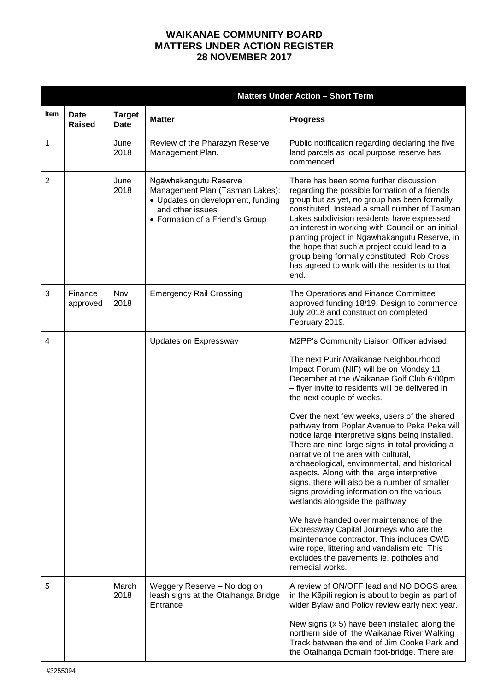## **WAIKANAE COMMUNITY BOARD MATTERS UNDER ACTION REGISTER 28 NOVEMBER 2017**

|                |                              | <b>Matters Under Action - Short Term</b> |                                                                                                                                                      |                                                                                                                                                                                                                                                                                                                                                                                                                                                                                                                                                                                                                                                                                                                                                                                                                                                                                                                                                                                              |  |
|----------------|------------------------------|------------------------------------------|------------------------------------------------------------------------------------------------------------------------------------------------------|----------------------------------------------------------------------------------------------------------------------------------------------------------------------------------------------------------------------------------------------------------------------------------------------------------------------------------------------------------------------------------------------------------------------------------------------------------------------------------------------------------------------------------------------------------------------------------------------------------------------------------------------------------------------------------------------------------------------------------------------------------------------------------------------------------------------------------------------------------------------------------------------------------------------------------------------------------------------------------------------|--|
| Item           | <b>Date</b><br><b>Raised</b> | <b>Target</b><br><b>Date</b>             | <b>Matter</b>                                                                                                                                        | <b>Progress</b>                                                                                                                                                                                                                                                                                                                                                                                                                                                                                                                                                                                                                                                                                                                                                                                                                                                                                                                                                                              |  |
| 1              |                              | June<br>2018                             | Review of the Pharazyn Reserve<br>Management Plan.                                                                                                   | Public notification regarding declaring the five<br>land parcels as local purpose reserve has<br>commenced.                                                                                                                                                                                                                                                                                                                                                                                                                                                                                                                                                                                                                                                                                                                                                                                                                                                                                  |  |
| $\overline{2}$ |                              | June<br>2018                             | Ngāwhakangutu Reserve<br>Management Plan (Tasman Lakes):<br>• Updates on development, funding<br>and other issues<br>• Formation of a Friend's Group | There has been some further discussion<br>regarding the possible formation of a friends<br>group but as yet, no group has been formally<br>constituted. Instead a small number of Tasman<br>Lakes subdivision residents have expressed<br>an interest in working with Council on an initial<br>planting project in Ngawhakangutu Reserve, in<br>the hope that such a project could lead to a<br>group being formally constituted. Rob Cross<br>has agreed to work with the residents to that<br>end.                                                                                                                                                                                                                                                                                                                                                                                                                                                                                         |  |
| 3              | Finance<br>approved          | Nov<br>2018                              | <b>Emergency Rail Crossing</b>                                                                                                                       | The Operations and Finance Committee<br>approved funding 18/19. Design to commence<br>July 2018 and construction completed<br>February 2019.                                                                                                                                                                                                                                                                                                                                                                                                                                                                                                                                                                                                                                                                                                                                                                                                                                                 |  |
| 4              |                              |                                          | Updates on Expressway                                                                                                                                | M2PP's Community Liaison Officer advised:<br>The next Puriri/Waikanae Neighbourhood<br>Impact Forum (NIF) will be on Monday 11<br>December at the Waikanae Golf Club 6:00pm<br>- flyer invite to residents will be delivered in<br>the next couple of weeks.<br>Over the next few weeks, users of the shared<br>pathway from Poplar Avenue to Peka Peka will<br>notice large interpretive signs being installed.<br>There are nine large signs in total providing a<br>narrative of the area with cultural,<br>archaeological, environmental, and historical<br>aspects. Along with the large interpretive<br>signs, there will also be a number of smaller<br>signs providing information on the various<br>wetlands alongside the pathway.<br>We have handed over maintenance of the<br>Expressway Capital Journeys who are the<br>maintenance contractor. This includes CWB<br>wire rope, littering and vandalism etc. This<br>excludes the pavements ie. potholes and<br>remedial works. |  |
| 5              |                              | March<br>2018                            | Weggery Reserve - No dog on<br>leash signs at the Otaihanga Bridge<br>Entrance                                                                       | A review of ON/OFF lead and NO DOGS area<br>in the Kāpiti region is about to begin as part of<br>wider Bylaw and Policy review early next year.<br>New signs $(x 5)$ have been installed along the<br>northern side of the Waikanae River Walking<br>Track between the end of Jim Cooke Park and<br>the Otaihanga Domain foot-bridge. There are                                                                                                                                                                                                                                                                                                                                                                                                                                                                                                                                                                                                                                              |  |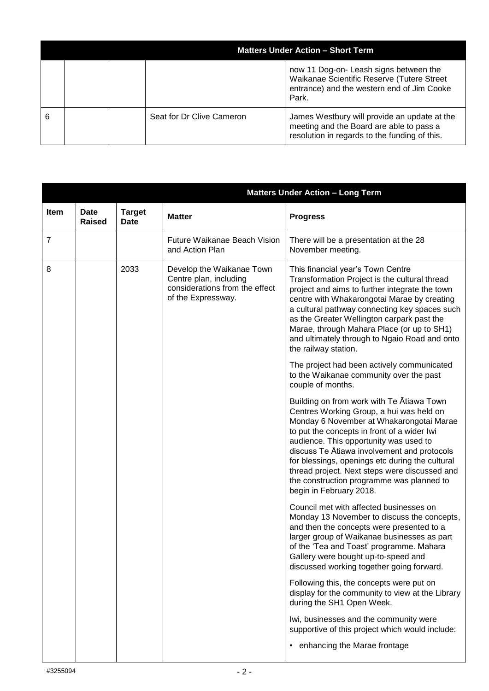|   |  | <b>Matters Under Action - Short Term</b> |                                                                                                                                             |  |
|---|--|------------------------------------------|---------------------------------------------------------------------------------------------------------------------------------------------|--|
|   |  |                                          | now 11 Dog-on- Leash signs between the<br>Waikanae Scientific Reserve (Tutere Street<br>entrance) and the western end of Jim Cooke<br>Park. |  |
| 6 |  | Seat for Dr Clive Cameron                | James Westbury will provide an update at the<br>meeting and the Board are able to pass a<br>resolution in regards to the funding of this.   |  |

|      |                              |                              | <b>Matters Under Action - Long Term</b>                                                                     |                                                                                                                                                                                                                                                                                                                                                                                                                                                       |  |
|------|------------------------------|------------------------------|-------------------------------------------------------------------------------------------------------------|-------------------------------------------------------------------------------------------------------------------------------------------------------------------------------------------------------------------------------------------------------------------------------------------------------------------------------------------------------------------------------------------------------------------------------------------------------|--|
| Item | <b>Date</b><br><b>Raised</b> | <b>Target</b><br><b>Date</b> | <b>Matter</b>                                                                                               | <b>Progress</b>                                                                                                                                                                                                                                                                                                                                                                                                                                       |  |
| 7    |                              |                              | Future Waikanae Beach Vision<br>and Action Plan                                                             | There will be a presentation at the 28<br>November meeting.                                                                                                                                                                                                                                                                                                                                                                                           |  |
| 8    |                              | 2033                         | Develop the Waikanae Town<br>Centre plan, including<br>considerations from the effect<br>of the Expressway. | This financial year's Town Centre<br>Transformation Project is the cultural thread<br>project and aims to further integrate the town<br>centre with Whakarongotai Marae by creating<br>a cultural pathway connecting key spaces such<br>as the Greater Wellington carpark past the<br>Marae, through Mahara Place (or up to SH1)<br>and ultimately through to Ngaio Road and onto<br>the railway station.                                             |  |
|      |                              |                              |                                                                                                             | The project had been actively communicated<br>to the Waikanae community over the past<br>couple of months.                                                                                                                                                                                                                                                                                                                                            |  |
|      |                              |                              |                                                                                                             | Building on from work with Te Atiawa Town<br>Centres Working Group, a hui was held on<br>Monday 6 November at Whakarongotai Marae<br>to put the concepts in front of a wider Iwi<br>audience. This opportunity was used to<br>discuss Te Atiawa involvement and protocols<br>for blessings, openings etc during the cultural<br>thread project. Next steps were discussed and<br>the construction programme was planned to<br>begin in February 2018. |  |
|      |                              |                              |                                                                                                             | Council met with affected businesses on<br>Monday 13 November to discuss the concepts,<br>and then the concepts were presented to a<br>larger group of Waikanae businesses as part<br>of the 'Tea and Toast' programme. Mahara<br>Gallery were bought up-to-speed and<br>discussed working together going forward.                                                                                                                                    |  |
|      |                              |                              |                                                                                                             | Following this, the concepts were put on<br>display for the community to view at the Library<br>during the SH1 Open Week.                                                                                                                                                                                                                                                                                                                             |  |
|      |                              |                              |                                                                                                             | Iwi, businesses and the community were<br>supportive of this project which would include:                                                                                                                                                                                                                                                                                                                                                             |  |
|      |                              |                              |                                                                                                             | • enhancing the Marae frontage                                                                                                                                                                                                                                                                                                                                                                                                                        |  |